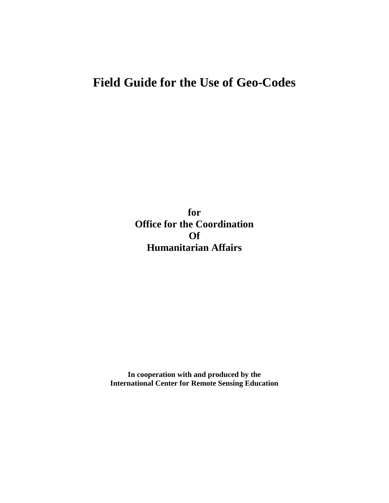# **Field Guide for the Use of Geo-Codes**

**for Office for the Coordination Of Humanitarian Affairs**

**In cooperation with and produced by the International Center for Remote Sensing Education**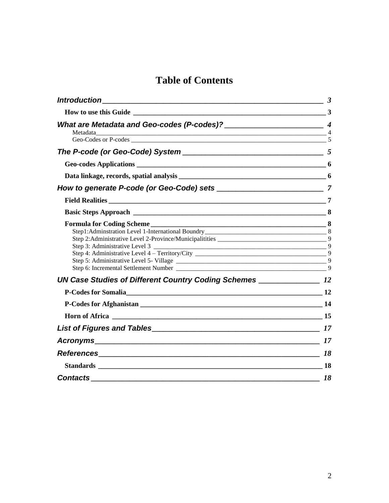# **Table of Contents**

| How to use this Guide 23  |
|---------------------------|
|                           |
|                           |
|                           |
|                           |
|                           |
|                           |
|                           |
| Formula for Coding Scheme |
|                           |
|                           |
|                           |
| Horn of Africa 2012 15    |
|                           |
|                           |
|                           |
|                           |
| <b>Contacts</b> 18        |
|                           |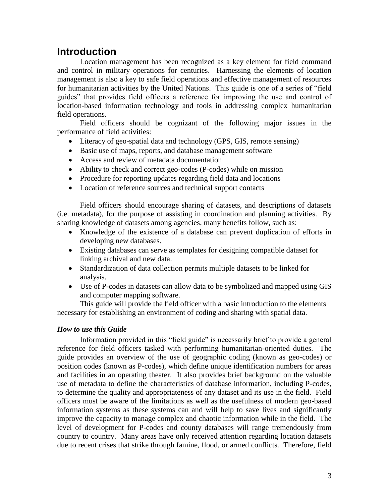## <span id="page-2-0"></span>**Introduction**

Location management has been recognized as a key element for field command and control in military operations for centuries. Harnessing the elements of location management is also a key to safe field operations and effective management of resources for humanitarian activities by the United Nations. This guide is one of a series of "field guides" that provides field officers a reference for improving the use and control of location-based information technology and tools in addressing complex humanitarian field operations.

Field officers should be cognizant of the following major issues in the performance of field activities:

- Literacy of geo-spatial data and technology (GPS, GIS, remote sensing)
- Basic use of maps, reports, and database management software
- Access and review of metadata documentation
- Ability to check and correct geo-codes (P-codes) while on mission
- Procedure for reporting updates regarding field data and locations
- Location of reference sources and technical support contacts

Field officers should encourage sharing of datasets, and descriptions of datasets (i.e. metadata), for the purpose of assisting in coordination and planning activities. By sharing knowledge of datasets among agencies, many benefits follow, such as:

- Knowledge of the existence of a database can prevent duplication of efforts in developing new databases.
- Existing databases can serve as templates for designing compatible dataset for linking archival and new data.
- Standardization of data collection permits multiple datasets to be linked for analysis.
- Use of P-codes in datasets can allow data to be symbolized and mapped using GIS and computer mapping software.

This guide will provide the field officer with a basic introduction to the elements necessary for establishing an environment of coding and sharing with spatial data.

### <span id="page-2-1"></span>*How to use this Guide*

Information provided in this "field guide" is necessarily brief to provide a general reference for field officers tasked with performing humanitarian-oriented duties. The guide provides an overview of the use of geographic coding (known as geo-codes) or position codes (known as P-codes), which define unique identification numbers for areas and facilities in an operating theater. It also provides brief background on the valuable use of metadata to define the characteristics of database information, including P-codes, to determine the quality and appropriateness of any dataset and its use in the field. Field officers must be aware of the limitations as well as the usefulness of modern geo-based information systems as these systems can and will help to save lives and significantly improve the capacity to manage complex and chaotic information while in the field. The level of development for P-codes and county databases will range tremendously from country to country. Many areas have only received attention regarding location datasets due to recent crises that strike through famine, flood, or armed conflicts. Therefore, field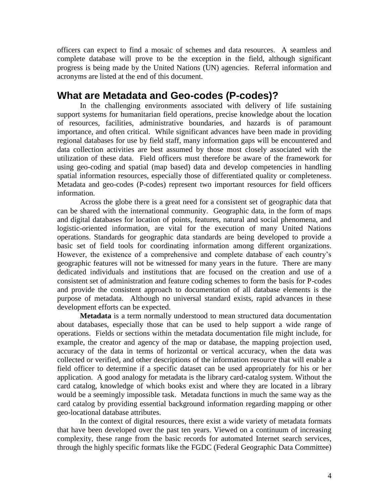officers can expect to find a mosaic of schemes and data resources. A seamless and complete database will prove to be the exception in the field, although significant progress is being made by the United Nations (UN) agencies. Referral information and acronyms are listed at the end of this document.

### <span id="page-3-0"></span>**What are Metadata and Geo-codes (P-codes)?**

In the challenging environments associated with delivery of life sustaining support systems for humanitarian field operations, precise knowledge about the location of resources, facilities, administrative boundaries, and hazards is of paramount importance, and often critical. While significant advances have been made in providing regional databases for use by field staff, many information gaps will be encountered and data collection activities are best assumed by those most closely associated with the utilization of these data. Field officers must therefore be aware of the framework for using geo-coding and spatial (map based) data and develop competencies in handling spatial information resources, especially those of differentiated quality or completeness. Metadata and geo-codes (P-codes) represent two important resources for field officers information.

Across the globe there is a great need for a consistent set of geographic data that can be shared with the international community. Geographic data, in the form of maps and digital databases for location of points, features, natural and social phenomena, and logistic-oriented information, are vital for the execution of many United Nations operations. Standards for geographic data standards are being developed to provide a basic set of field tools for coordinating information among different organizations. However, the existence of a comprehensive and complete database of each country's geographic features will not be witnessed for many years in the future. There are many dedicated individuals and institutions that are focused on the creation and use of a consistent set of administration and feature coding schemes to form the basis for P-codes and provide the consistent approach to documentation of all database elements is the purpose of metadata. Although no universal standard exists, rapid advances in these development efforts can be expected.

<span id="page-3-1"></span>**Metadata** is a term normally understood to mean structured data documentation about databases, especially those that can be used to help support a wide range of operations. Fields or sections within the metadata documentation file might include, for example, the creator and agency of the map or database, the mapping projection used, accuracy of the data in terms of horizontal or vertical accuracy, when the data was collected or verified, and other descriptions of the information resource that will enable a field officer to determine if a specific dataset can be used appropriately for his or her application. A good analogy for metadata is the library card-catalog system. Without the card catalog, knowledge of which books exist and where they are located in a library would be a seemingly impossible task. Metadata functions in much the same way as the card catalog by providing essential background information regarding mapping or other geo-locational database attributes.

In the context of digital resources, there exist a wide variety of metadata formats that have been developed over the past ten years. Viewed on a continuum of increasing complexity, these range from the basic records for automated Internet search services, through the highly specific formats like the FGDC (Federal Geographic Data Committee)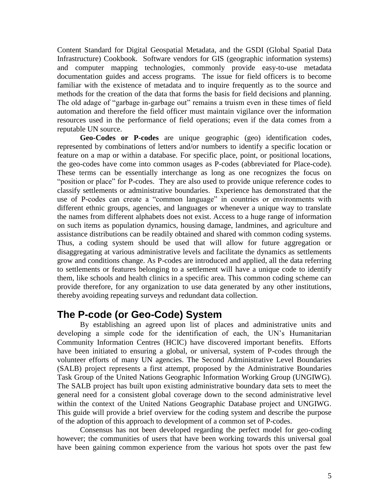Content Standard for Digital Geospatial Metadata, and the GSDI (Global Spatial Data Infrastructure) Cookbook. Software vendors for GIS (geographic information systems) and computer mapping technologies, commonly provide easy-to-use metadata documentation guides and access programs. The issue for field officers is to become familiar with the existence of metadata and to inquire frequently as to the source and methods for the creation of the data that forms the basis for field decisions and planning. The old adage of "garbage in-garbage out" remains a truism even in these times of field automation and therefore the field officer must maintain vigilance over the information resources used in the performance of field operations; even if the data comes from a reputable UN source.

<span id="page-4-0"></span>**Geo-Codes or P-codes** are unique geographic (geo) identification codes, represented by combinations of letters and/or numbers to identify a specific location or feature on a map or within a database. For specific place, point, or positional locations, the geo-codes have come into common usages as P-codes (abbreviated for Place-code). These terms can be essentially interchange as long as one recognizes the focus on "position or place" for P-codes. They are also used to provide unique reference codes to classify settlements or administrative boundaries. Experience has demonstrated that the use of P-codes can create a "common language" in countries or environments with different ethnic groups, agencies, and languages or whenever a unique way to translate the names from different alphabets does not exist. Access to a huge range of information on such items as population dynamics, housing damage, landmines, and agriculture and assistance distributions can be readily obtained and shared with common coding systems. Thus, a coding system should be used that will allow for future aggregation or disaggregating at various administrative levels and facilitate the dynamics as settlements grow and conditions change. As P-codes are introduced and applied, all the data referring to settlements or features belonging to a settlement will have a unique code to identify them, like schools and health clinics in a specific area. This common coding scheme can provide therefore, for any organization to use data generated by any other institutions, thereby avoiding repeating surveys and redundant data collection.

## <span id="page-4-1"></span>**The P-code (or Geo-Code) System**

By establishing an agreed upon list of places and administrative units and developing a simple code for the identification of each, the UN's Humanitarian Community Information Centres (HCIC) have discovered important benefits. Efforts have been initiated to ensuring a global, or universal, system of P-codes through the volunteer efforts of many UN agencies. The Second Administrative Level Boundaries (SALB) project represents a first attempt, proposed by the Administrative Boundaries Task Group of the United Nations Geographic Information Working Group (UNGIWG). The SALB project has built upon existing administrative boundary data sets to meet the general need for a consistent global coverage down to the second administrative level within the context of the United Nations Geographic Database project and UNGIWG. This guide will provide a brief overview for the coding system and describe the purpose of the adoption of this approach to development of a common set of P-codes.

Consensus has not been developed regarding the perfect model for geo-coding however; the communities of users that have been working towards this universal goal have been gaining common experience from the various hot spots over the past few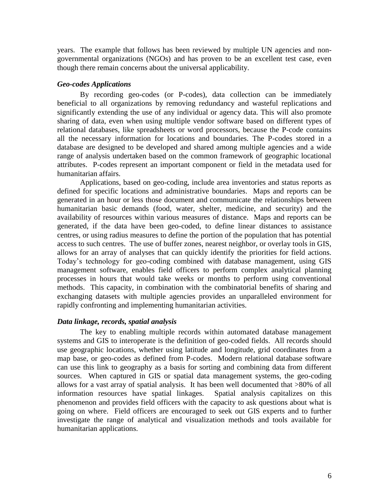years. The example that follows has been reviewed by multiple UN agencies and nongovernmental organizations (NGOs) and has proven to be an excellent test case, even though there remain concerns about the universal applicability.

#### <span id="page-5-0"></span>*Geo-codes Applications*

By recording geo-codes (or P-codes), data collection can be immediately beneficial to all organizations by removing redundancy and wasteful replications and significantly extending the use of any individual or agency data. This will also promote sharing of data, even when using multiple vendor software based on different types of relational databases, like spreadsheets or word processors, because the P-code contains all the necessary information for locations and boundaries. The P-codes stored in a database are designed to be developed and shared among multiple agencies and a wide range of analysis undertaken based on the common framework of geographic locational attributes. P-codes represent an important component or field in the metadata used for humanitarian affairs.

Applications, based on geo-coding, include area inventories and status reports as defined for specific locations and administrative boundaries. Maps and reports can be generated in an hour or less those document and communicate the relationships between humanitarian basic demands (food, water, shelter, medicine, and security) and the availability of resources within various measures of distance. Maps and reports can be generated, if the data have been geo-coded, to define linear distances to assistance centres, or using radius measures to define the portion of the population that has potential access to such centres. The use of buffer zones, nearest neighbor, or overlay tools in GIS, allows for an array of analyses that can quickly identify the priorities for field actions. Today's technology for geo-coding combined with database management, using GIS management software, enables field officers to perform complex analytical planning processes in hours that would take weeks or months to perform using conventional methods. This capacity, in combination with the combinatorial benefits of sharing and exchanging datasets with multiple agencies provides an unparalleled environment for rapidly confronting and implementing humanitarian activities.

#### <span id="page-5-1"></span>*Data linkage, records, spatial analysis*

The key to enabling multiple records within automated database management systems and GIS to interoperate is the definition of geo-coded fields. All records should use geographic locations, whether using latitude and longitude, grid coordinates from a map base, or geo-codes as defined from P-codes. Modern relational database software can use this link to geography as a basis for sorting and combining data from different sources. When captured in GIS or spatial data management systems, the geo-coding allows for a vast array of spatial analysis. It has been well documented that >80% of all information resources have spatial linkages. Spatial analysis capitalizes on this phenomenon and provides field officers with the capacity to ask questions about what is going on where. Field officers are encouraged to seek out GIS experts and to further investigate the range of analytical and visualization methods and tools available for humanitarian applications.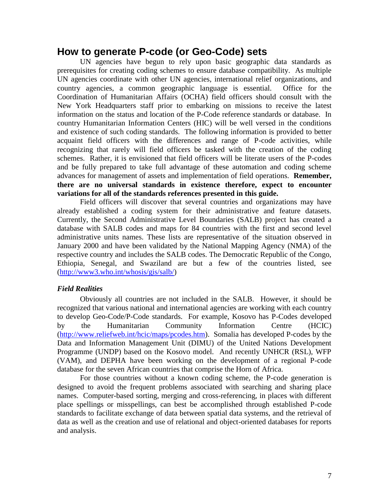### <span id="page-6-0"></span>**How to generate P-code (or Geo-Code) sets**

UN agencies have begun to rely upon basic geographic data standards as prerequisites for creating coding schemes to ensure database compatibility. As multiple UN agencies coordinate with other UN agencies, international relief organizations, and country agencies, a common geographic language is essential. Office for the Coordination of Humanitarian Affairs (OCHA) field officers should consult with the New York Headquarters staff prior to embarking on missions to receive the latest information on the status and location of the P-Code reference standards or database. In country Humanitarian Information Centers (HIC) will be well versed in the conditions and existence of such coding standards. The following information is provided to better acquaint field officers with the differences and range of P-code activities, while recognizing that rarely will field officers be tasked with the creation of the coding schemes. Rather, it is envisioned that field officers will be literate users of the P-codes and be fully prepared to take full advantage of these automation and coding scheme advances for management of assets and implementation of field operations. **Remember, there are no universal standards in existence therefore, expect to encounter variations for all of the standards references presented in this guide.**

Field officers will discover that several countries and organizations may have already established a coding system for their administrative and feature datasets. Currently, the Second Administrative Level Boundaries (SALB) project has created a database with SALB codes and maps for 84 countries with the first and second level administrative units names. These lists are representative of the situation observed in January 2000 and have been validated by the National Mapping Agency (NMA) of the respective country and includes the SALB codes. The Democratic Republic of the Congo, Ethiopia, Senegal, and Swaziland are but a few of the countries listed, see [\(http://www3.who.int/whosis/gis/salb/\)](http://www3.who.int/whosis/gis/salb/)

#### <span id="page-6-1"></span>*Field Realities*

Obviously all countries are not included in the SALB. However, it should be recognized that various national and international agencies are working with each country to develop Geo-Code/P-Code standards. For example, Kosovo has P-Codes developed by the Humanitarian Community Information Centre (HCIC) [\(http://www.reliefweb.int/hcic/maps/pcodes.htm\)](http://www.reliefweb.int/hcic/maps/pcodes.htm). Somalia has developed P-codes by the Data and Information Management Unit (DIMU) of the United Nations Development Programme (UNDP) based on the Kosovo model. And recently UNHCR (RSL), WFP (VAM), and DEPHA have been working on the development of a regional P-code database for the seven African countries that comprise the Horn of Africa.

For those countries without a known coding scheme, the P-code generation is designed to avoid the frequent problems associated with searching and sharing place names. Computer-based sorting, merging and cross-referencing, in places with different place spellings or misspellings, can best be accomplished through established P-code standards to facilitate exchange of data between spatial data systems, and the retrieval of data as well as the creation and use of relational and object-oriented databases for reports and analysis.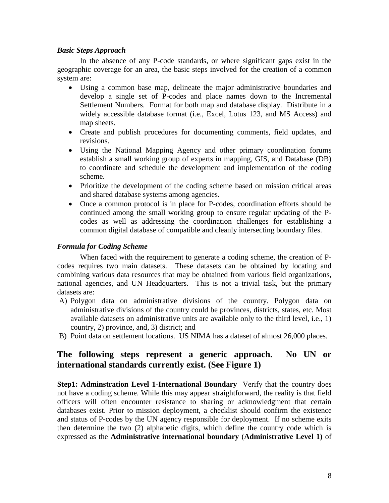### <span id="page-7-0"></span>*Basic Steps Approach*

In the absence of any P-code standards, or where significant gaps exist in the geographic coverage for an area, the basic steps involved for the creation of a common system are:

- Using a common base map, delineate the major administrative boundaries and develop a single set of P-codes and place names down to the Incremental Settlement Numbers. Format for both map and database display. Distribute in a widely accessible database format (i.e., Excel, Lotus 123, and MS Access) and map sheets.
- Create and publish procedures for documenting comments, field updates, and revisions.
- Using the National Mapping Agency and other primary coordination forums establish a small working group of experts in mapping, GIS, and Database (DB) to coordinate and schedule the development and implementation of the coding scheme.
- Prioritize the development of the coding scheme based on mission critical areas and shared database systems among agencies.
- Once a common protocol is in place for P-codes, coordination efforts should be continued among the small working group to ensure regular updating of the Pcodes as well as addressing the coordination challenges for establishing a common digital database of compatible and cleanly intersecting boundary files.

### <span id="page-7-1"></span>*Formula for Coding Scheme*

When faced with the requirement to generate a coding scheme, the creation of Pcodes requires two main datasets. These datasets can be obtained by locating and combining various data resources that may be obtained from various field organizations, national agencies, and UN Headquarters. This is not a trivial task, but the primary datasets are:

- A) Polygon data on administrative divisions of the country. Polygon data on administrative divisions of the country could be provinces, districts, states, etc. Most available datasets on administrative units are available only to the third level, i.e., 1) country, 2) province, and, 3) district; and
- B) Point data on settlement locations. US NIMA has a dataset of almost 26,000 places.

### **The following steps represent a generic approach. No UN or international standards currently exist. (See Figure 1)**

<span id="page-7-2"></span>**Step1: Adminstration Level 1-International Boundary** Verify that the country does not have a coding scheme. While this may appear straightforward, the reality is that field officers will often encounter resistance to sharing or acknowledgment that certain databases exist. Prior to mission deployment, a checklist should confirm the existence and status of P-codes by the UN agency responsible for deployment. If no scheme exits then determine the two (2) alphabetic digits, which define the country code which is expressed as the **Administrative international boundary** (**Administrative Level 1)** of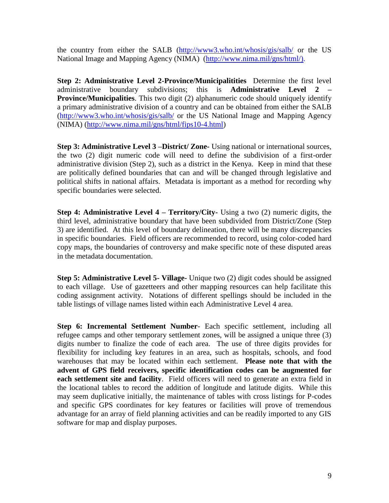the country from either the SALB [\(http://www3.who.int/whosis/gis/salb/](http://www3.who.int/whosis/gis/salb/) or the US National Image and Mapping Agency (NIMA) [\(http://www.nima.mil/gns/html/\)](http://www.nima.mil/gns/html/).

<span id="page-8-0"></span>**Step 2: Administrative Level 2-Province/Municipalitities** Determine the first level administrative boundary subdivisions; this is **Administrative Level 2 – Province/Municipalities**. This two digit (2) alphanumeric code should uniquely identify a primary administrative division of a country and can be obtained from either the SALB [\(http://www3.who.int/whosis/gis/salb/](http://www3.who.int/whosis/gis/salb/) or the US National Image and Mapping Agency (NIMA) (http://www.nima.mil/gns/html/fips10-4.html)

<span id="page-8-1"></span>**Step 3: Administrative Level 3 –District/ Zone-** Using national or international sources, the two (2) digit numeric code will need to define the subdivision of a first-order administrative division (Step 2), such as a district in the Kenya. Keep in mind that these are politically defined boundaries that can and will be changed through legislative and political shifts in national affairs. Metadata is important as a method for recording why specific boundaries were selected.

<span id="page-8-2"></span>**Step 4: Administrative Level 4 – Territory/City-** Using a two (2) numeric digits, the third level, administrative boundary that have been subdivided from District/Zone (Step 3) are identified. At this level of boundary delineation, there will be many discrepancies in specific boundaries. Field officers are recommended to record, using color-coded hard copy maps, the boundaries of controversy and make specific note of these disputed areas in the metadata documentation.

<span id="page-8-3"></span>**Step 5: Administrative Level 5- Village-** Unique two (2) digit codes should be assigned to each village. Use of gazetteers and other mapping resources can help facilitate this coding assignment activity. Notations of different spellings should be included in the table listings of village names listed within each Administrative Level 4 area.

<span id="page-8-4"></span>**Step 6: Incremental Settlement Number**- Each specific settlement, including all refugee camps and other temporary settlement zones, will be assigned a unique three (3) digits number to finalize the code of each area. The use of three digits provides for flexibility for including key features in an area, such as hospitals, schools, and food warehouses that may be located within each settlement. **Please note that with the advent of GPS field receivers, specific identification codes can be augmented for each settlement site and facility**. Field officers will need to generate an extra field in the locational tables to record the addition of longitude and latitude digits. While this may seem duplicative initially, the maintenance of tables with cross listings for P-codes and specific GPS coordinates for key features or facilities will prove of tremendous advantage for an array of field planning activities and can be readily imported to any GIS software for map and display purposes.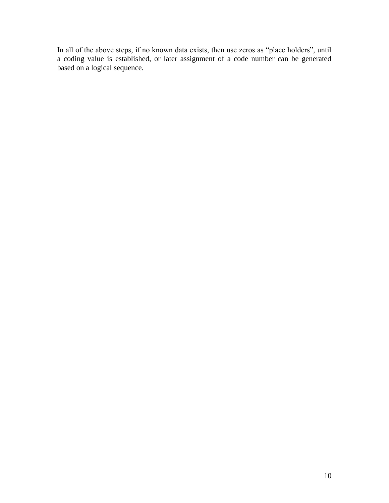In all of the above steps, if no known data exists, then use zeros as "place holders", until a coding value is established, or later assignment of a code number can be generated based on a logical sequence.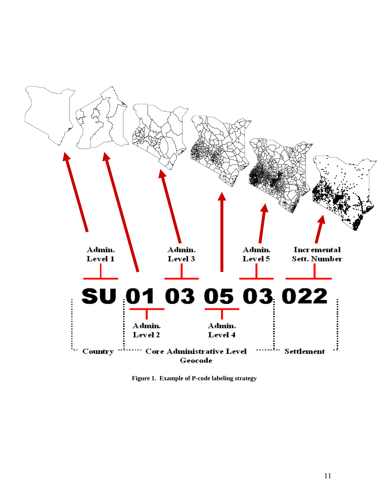

Figure 1. Example of P-code labeling strategy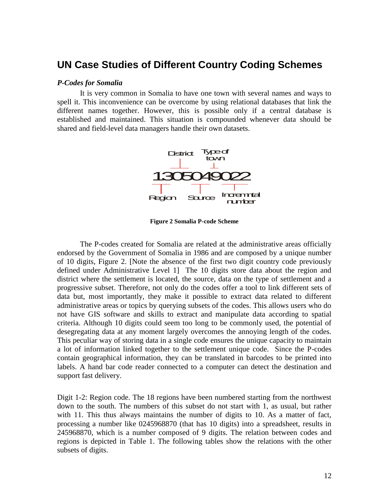### <span id="page-11-0"></span>**UN Case Studies of Different Country Coding Schemes**

#### <span id="page-11-1"></span>*P-Codes for Somalia*

It is very common in Somalia to have one town with several names and ways to spell it. This inconvenience can be overcome by using relational databases that link the different names together. However, this is possible only if a central database is established and maintained. This situation is compounded whenever data should be shared and field-level data managers handle their own datasets.



**Figure 2 Somalia P-code Scheme**

The P-codes created for Somalia are related at the administrative areas officially endorsed by the Government of Somalia in 1986 and are composed by a unique number of 10 digits, Figure 2. [Note the absence of the first two digit country code previously defined under Administrative Level 1] The 10 digits store data about the region and district where the settlement is located, the source, data on the type of settlement and a progressive subset. Therefore, not only do the codes offer a tool to link different sets of data but, most importantly, they make it possible to extract data related to different administrative areas or topics by querying subsets of the codes. This allows users who do not have GIS software and skills to extract and manipulate data according to spatial criteria. Although 10 digits could seem too long to be commonly used, the potential of desegregating data at any moment largely overcomes the annoying length of the codes. This peculiar way of storing data in a single code ensures the unique capacity to maintain a lot of information linked together to the settlement unique code. Since the P-codes contain geographical information, they can be translated in barcodes to be printed into labels. A hand bar code reader connected to a computer can detect the destination and support fast delivery.

Digit 1-2: Region code. The 18 regions have been numbered starting from the northwest down to the south. The numbers of this subset do not start with 1, as usual, but rather with 11. This thus always maintains the number of digits to 10. As a matter of fact, processing a number like 0245968870 (that has 10 digits) into a spreadsheet, results in 245968870, which is a number composed of 9 digits. The relation between codes and regions is depicted in Table 1. The following tables show the relations with the other subsets of digits.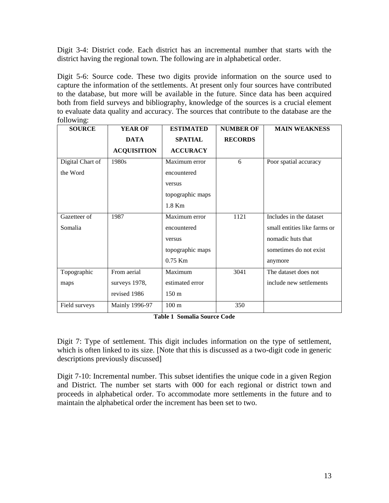Digit 3-4: District code. Each district has an incremental number that starts with the district having the regional town. The following are in alphabetical order.

Digit 5-6: Source code. These two digits provide information on the source used to capture the information of the settlements. At present only four sources have contributed to the database, but more will be available in the future. Since data has been acquired both from field surveys and bibliography, knowledge of the sources is a crucial element to evaluate data quality and accuracy. The sources that contribute to the database are the following:

| <b>SOURCE</b>    | <b>YEAR OF</b>     | <b>ESTIMATED</b> | <b>NUMBER OF</b> | <b>MAIN WEAKNESS</b>         |
|------------------|--------------------|------------------|------------------|------------------------------|
|                  | <b>DATA</b>        | <b>SPATIAL</b>   | <b>RECORDS</b>   |                              |
|                  | <b>ACQUISITION</b> | <b>ACCURACY</b>  |                  |                              |
| Digital Chart of | 1980s              | Maximum error    | 6                | Poor spatial accuracy        |
| the Word         |                    | encountered      |                  |                              |
|                  |                    | versus           |                  |                              |
|                  |                    | topographic maps |                  |                              |
|                  |                    | 1.8 Km           |                  |                              |
| Gazetteer of     | 1987               | Maximum error    | 1121             | Includes in the dataset      |
| Somalia          |                    | encountered      |                  | small entities like farms or |
|                  |                    | versus           |                  | nomadic huts that            |
|                  |                    | topographic maps |                  | sometimes do not exist       |
|                  |                    | $0.75$ Km        |                  | anymore                      |
| Topographic      | From aerial        | Maximum          | 3041             | The dataset does not         |
| maps             | surveys 1978,      | estimated error  |                  | include new settlements      |
|                  | revised 1986       | 150 m            |                  |                              |
| Field surveys    | Mainly 1996-97     | 100 <sub>m</sub> | 350              |                              |

**Table 1 Somalia Source Code**

Digit 7: Type of settlement. This digit includes information on the type of settlement, which is often linked to its size. [Note that this is discussed as a two-digit code in generic descriptions previously discussed]

Digit 7-10: Incremental number. This subset identifies the unique code in a given Region and District. The number set starts with 000 for each regional or district town and proceeds in alphabetical order. To accommodate more settlements in the future and to maintain the alphabetical order the increment has been set to two.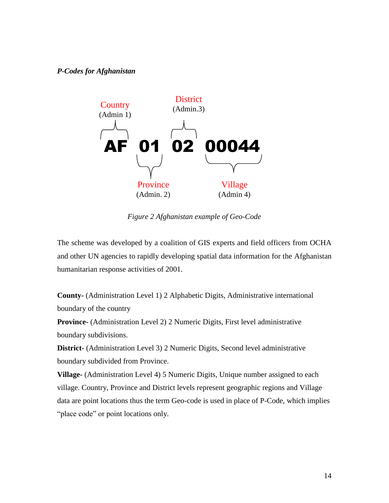#### <span id="page-13-0"></span>*P-Codes for Afghanistan*



*Figure 2 Afghanistan example of Geo-Code*

The scheme was developed by a coalition of GIS experts and field officers from OCHA and other UN agencies to rapidly developing spatial data information for the Afghanistan humanitarian response activities of 2001.

**County-** (Administration Level 1) 2 Alphabetic Digits, Administrative international boundary of the country

**Province-** (Administration Level 2) 2 Numeric Digits, First level administrative boundary subdivisions.

**District-** (Administration Level 3) 2 Numeric Digits, Second level administrative boundary subdivided from Province.

**Village-** (Administration Level 4) 5 Numeric Digits, Unique number assigned to each village. Country, Province and District levels represent geographic regions and Village data are point locations thus the term Geo-code is used in place of P-Code, which implies "place code" or point locations only.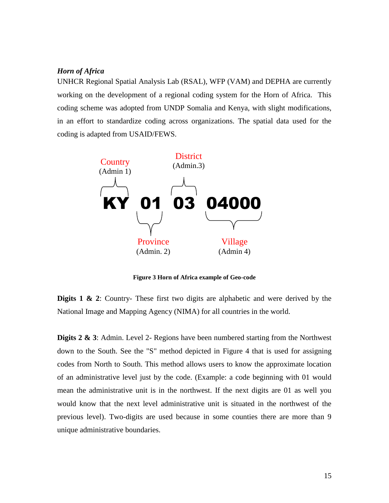### <span id="page-14-0"></span>*Horn of Africa*

UNHCR Regional Spatial Analysis Lab (RSAL), WFP (VAM) and DEPHA are currently working on the development of a regional coding system for the Horn of Africa. This coding scheme was adopted from UNDP Somalia and Kenya, with slight modifications, in an effort to standardize coding across organizations. The spatial data used for the coding is adapted from USAID/FEWS.



**Figure 3 Horn of Africa example of Geo-code**

**Digits 1 & 2:** Country- These first two digits are alphabetic and were derived by the National Image and Mapping Agency (NIMA) for all countries in the world.

**Digits 2 & 3**: Admin. Level 2- Regions have been numbered starting from the Northwest down to the South. See the "S" method depicted in Figure 4 that is used for assigning codes from North to South. This method allows users to know the approximate location of an administrative level just by the code. (Example: a code beginning with 01 would mean the administrative unit is in the northwest. If the next digits are 01 as well you would know that the next level administrative unit is situated in the northwest of the previous level). Two-digits are used because in some counties there are more than 9 unique administrative boundaries.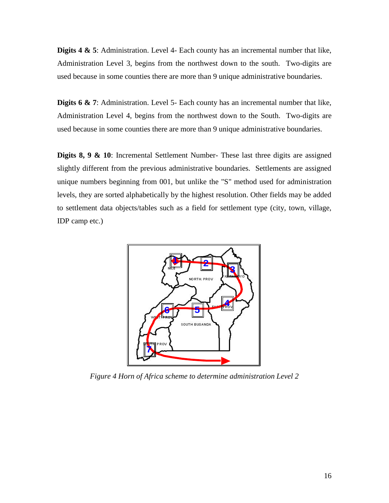**Digits 4 & 5**: Administration. Level 4- Each county has an incremental number that like, Administration Level 3, begins from the northwest down to the south. Two-digits are used because in some counties there are more than 9 unique administrative boundaries.

**Digits 6 & 7**: Administration. Level 5- Each county has an incremental number that like, Administration Level 4, begins from the northwest down to the South. Two-digits are used because in some counties there are more than 9 unique administrative boundaries.

**Digits 8, 9 & 10**: Incremental Settlement Number- These last three digits are assigned slightly different from the previous administrative boundaries. Settlements are assigned unique numbers beginning from 001, but unlike the "S" method used for administration levels, they are sorted alphabetically by the highest resolution. Other fields may be added to settlement data objects/tables such as a field for settlement type (city, town, village, IDP camp etc.)



*Figure 4 Horn of Africa scheme to determine administration Level 2*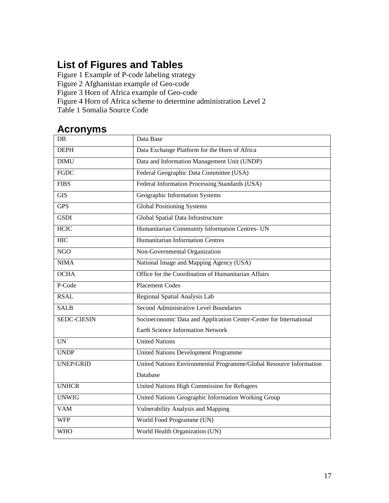# <span id="page-16-0"></span>**List of Figures and Tables**

Figure 1 Example of P-code labeling strategy

Figure 2 Afghanistan example of Geo-code

Figure 3 Horn of Africa example of Geo-code

Figure 4 Horn of Africa scheme to determine administration Level 2

Table 1 Somalia Source Code

## <span id="page-16-1"></span>**Acronyms**

| DB                 | Data Base                                                          |  |  |  |
|--------------------|--------------------------------------------------------------------|--|--|--|
| <b>DEPH</b>        | Data Exchange Platform for the Horn of Africa                      |  |  |  |
| <b>DIMU</b>        | Data and Information Management Unit (UNDP)                        |  |  |  |
| <b>FGDC</b>        | Federal Geographic Data Committee (USA)                            |  |  |  |
| <b>FIBS</b>        | Federal Information Processing Standards (USA)                     |  |  |  |
| $\overline{GIS}$   | Geographic Information Systems                                     |  |  |  |
| <b>GPS</b>         | <b>Global Positioning Systems</b>                                  |  |  |  |
| <b>GSDI</b>        | Global Spatial Data Infrastructure                                 |  |  |  |
| <b>HCIC</b>        | Humanitarian Community Information Centres- UN                     |  |  |  |
| <b>HIC</b>         | <b>Humanitarian Information Centres</b>                            |  |  |  |
| <b>NGO</b>         | Non-Governmental Organization                                      |  |  |  |
| <b>NIMA</b>        | National Image and Mapping Agency (USA)                            |  |  |  |
| <b>OCHA</b>        | Office for the Coordination of Humanitarian Affairs                |  |  |  |
| P-Code             | <b>Placement Codes</b>                                             |  |  |  |
| <b>RSAL</b>        | Regional Spatial Analysis Lab                                      |  |  |  |
| <b>SALB</b>        | Second Administrative Level Boundaries                             |  |  |  |
| <b>SEDC-CIESIN</b> | Socioeconomic Data and Application Center-Center for International |  |  |  |
|                    | <b>Earth Science Information Network</b>                           |  |  |  |
| UN                 | <b>United Nations</b>                                              |  |  |  |
| <b>UNDP</b>        | <b>United Nations Development Programme</b>                        |  |  |  |
| <b>UNEP/GRID</b>   | United Nations Environmental Programme/Global Resource Information |  |  |  |
|                    | Database                                                           |  |  |  |
| <b>UNHCR</b>       | United Nations High Commission for Refugees                        |  |  |  |
| <b>UNWIG</b>       | United Nations Geographic Information Working Group                |  |  |  |
| <b>VAM</b>         | Vulnerability Analysis and Mapping                                 |  |  |  |
| <b>WFP</b>         | World Food Programme (UN)                                          |  |  |  |
| <b>WHO</b>         | World Health Organization (UN)                                     |  |  |  |